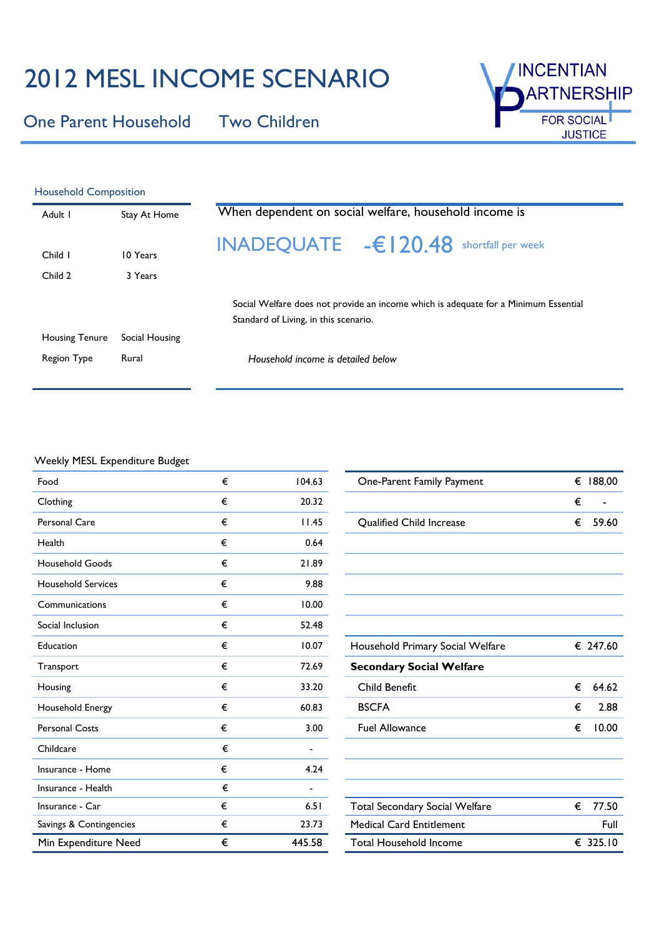# 2012 MESL INCOME SCENARIO

One Parent Household Two Children



| <b>Household Composition</b> |                     |                                                                                                                              |  |  |  |  |  |
|------------------------------|---------------------|------------------------------------------------------------------------------------------------------------------------------|--|--|--|--|--|
| Adult I                      | Stay At Home        | When dependent on social welfare, household income is                                                                        |  |  |  |  |  |
| Child I<br>Child 2           | 10 Years<br>3 Years | INADEQUATE $-\epsilon$ 20.48<br>shortfall per week                                                                           |  |  |  |  |  |
|                              |                     | Social Welfare does not provide an income which is adequate for a Minimum Essential<br>Standard of Living, in this scenario. |  |  |  |  |  |
| <b>Housing Tenure</b>        | Social Housing      |                                                                                                                              |  |  |  |  |  |
| Region Type                  | Rural               | Household income is detailed below                                                                                           |  |  |  |  |  |
|                              |                     |                                                                                                                              |  |  |  |  |  |

### Weekly MESL Expenditure Budget

| Food                      | € | 104.63 | One-Parent Family Payment             | €<br>188.00 |
|---------------------------|---|--------|---------------------------------------|-------------|
| Clothing                  | € | 20.32  |                                       | €           |
| <b>Personal Care</b>      | € | 11.45  | <b>Qualified Child Increase</b>       | €<br>59.60  |
| Health                    | € | 0.64   |                                       |             |
| <b>Household Goods</b>    | € | 21.89  |                                       |             |
| <b>Household Services</b> | € | 9.88   |                                       |             |
| Communications            | € | 10.00  |                                       |             |
| Social Inclusion          | € | 52.48  |                                       |             |
| Education                 | € | 10.07  | Household Primary Social Welfare      | € 247.60    |
| Transport                 | € | 72.69  | <b>Secondary Social Welfare</b>       |             |
| Housing                   | € | 33.20  | <b>Child Benefit</b>                  | €<br>64.62  |
| Household Energy          | € | 60.83  | <b>BSCFA</b>                          | €<br>2.88   |
| <b>Personal Costs</b>     | € | 3.00   | <b>Fuel Allowance</b>                 | 10.00<br>€  |
| Childcare                 | € | ۰.     |                                       |             |
| Insurance - Home          | € | 4.24   |                                       |             |
| Insurance - Health        | € |        |                                       |             |
| Insurance - Car           | € | 6.51   | <b>Total Secondary Social Welfare</b> | 77.50<br>€  |
| Savings & Contingencies   | € | 23.73  | <b>Medical Card Entitlement</b>       | Full        |
| Min Expenditure Need      | € | 445.58 | <b>Total Household Income</b>         | € 325.10    |

| One-Parent Family Payment        | € | 188.00   |
|----------------------------------|---|----------|
|                                  | € |          |
| <b>Qualified Child Increase</b>  | € | 59.60    |
|                                  |   |          |
|                                  |   |          |
|                                  |   |          |
|                                  |   |          |
|                                  |   |          |
| Household Primary Social Welfare |   | € 247.60 |
| <b>Secondary Social Welfare</b>  |   |          |
| Child Benefit                    | € | 64.62    |
| <b>BSCFA</b>                     | € | 2.88     |
| <b>Fuel Allowance</b>            | € | 10.00    |
|                                  |   |          |
|                                  |   |          |
|                                  |   |          |
| Total Secondary Social Welfare   | € | 77.50    |
| <b>Medical Card Entitlement</b>  |   | Full     |
| Total Household Income           |   | € 325.10 |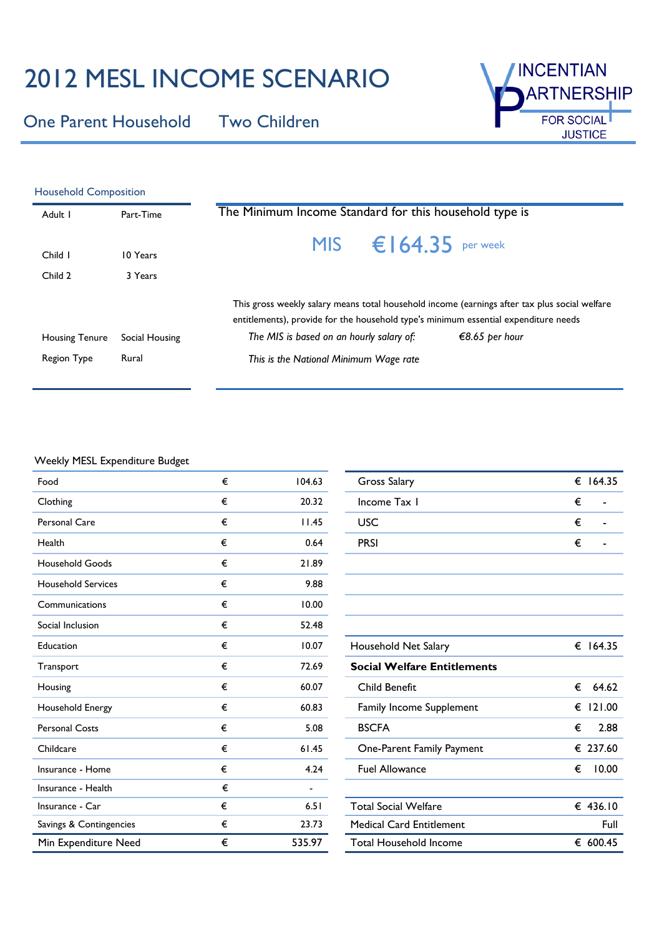# 2012 MESL INCOME SCENARIO

One Parent Household Two Children



| <b>Household Composition</b> |                |                                                                                                                                                                                                                                                    |  |  |  |  |
|------------------------------|----------------|----------------------------------------------------------------------------------------------------------------------------------------------------------------------------------------------------------------------------------------------------|--|--|--|--|
| Adult I                      | Part-Time      | The Minimum Income Standard for this household type is                                                                                                                                                                                             |  |  |  |  |
| Child I                      | 10 Years       | MIS $\epsilon$ 164.35 per week                                                                                                                                                                                                                     |  |  |  |  |
| Child 2                      | 3 Years        |                                                                                                                                                                                                                                                    |  |  |  |  |
| <b>Housing Tenure</b>        | Social Housing | This gross weekly salary means total household income (earnings after tax plus social welfare<br>entitlements), provide for the household type's minimum essential expenditure needs<br>The MIS is based on an hourly salary of:<br>€8.65 per hour |  |  |  |  |
| Region Type                  | Rural          | This is the National Minimum Wage rate                                                                                                                                                                                                             |  |  |  |  |
|                              |                |                                                                                                                                                                                                                                                    |  |  |  |  |

#### Weekly MESL Expenditure Budget

| Food                      | € | 104.63         | <b>Gross Salary</b>                | € 164.35    |
|---------------------------|---|----------------|------------------------------------|-------------|
| Clothing                  | € | 20.32          | Income Tax I                       | €           |
| Personal Care             | € | 11.45          | <b>USC</b>                         | €           |
| Health                    | € | 0.64           | <b>PRSI</b>                        | €           |
| <b>Household Goods</b>    | € | 21.89          |                                    |             |
| <b>Household Services</b> | € | 9.88           |                                    |             |
| Communications            | € | 10.00          |                                    |             |
| Social Inclusion          | € | 52.48          |                                    |             |
| Education                 | € | 10.07          | Household Net Salary               | € 164.35    |
| Transport                 | € | 72.69          | <b>Social Welfare Entitlements</b> |             |
| Housing                   | € | 60.07          | Child Benefit                      | €<br>64.62  |
| Household Energy          | € | 60.83          | Family Income Supplement           | 121.00<br>€ |
| <b>Personal Costs</b>     | € | 5.08           | <b>BSCFA</b>                       | €<br>2.88   |
| Childcare                 | € | 61.45          | One-Parent Family Payment          | € 237.60    |
| Insurance - Home          | € | 4.24           | <b>Fuel Allowance</b>              | 10.00<br>€  |
| Insurance - Health        | € | $\blacksquare$ |                                    |             |
| Insurance - Car           | € | 6.51           | <b>Total Social Welfare</b>        | € 436.10    |
| Savings & Contingencies   | € | 23.73          | <b>Medical Card Entitlement</b>    | Full        |
| Min Expenditure Need      | € | 535.97         | <b>Total Household Income</b>      | € 600.45    |